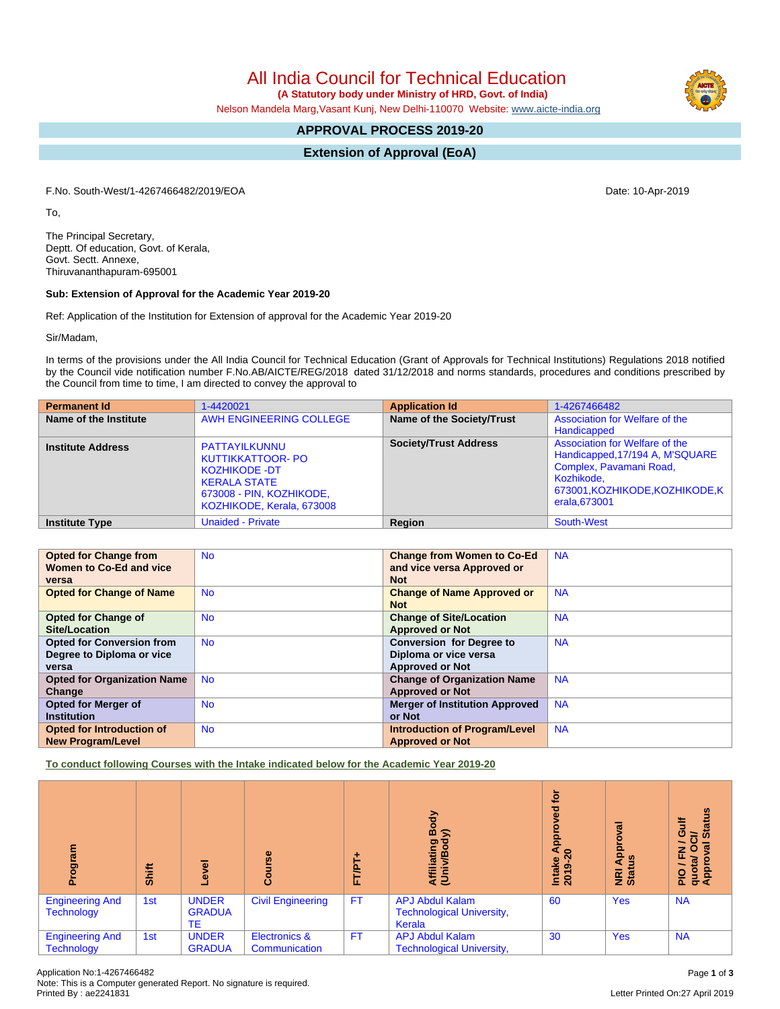All India Council for Technical Education

 **(A Statutory body under Ministry of HRD, Govt. of India)**

Nelson Mandela Marg,Vasant Kunj, New Delhi-110070 Website: [www.aicte-india.org](http://www.aicte-india.org)

# **APPROVAL PROCESS 2019-20**

**Extension of Approval (EoA)**

F.No. South-West/1-4267466482/2019/EOA Date: 10-Apr-2019

To,

The Principal Secretary, Deptt. Of education, Govt. of Kerala, Govt. Sectt. Annexe, Thiruvananthapuram-695001

### **Sub: Extension of Approval for the Academic Year 2019-20**

Ref: Application of the Institution for Extension of approval for the Academic Year 2019-20

Sir/Madam,

In terms of the provisions under the All India Council for Technical Education (Grant of Approvals for Technical Institutions) Regulations 2018 notified by the Council vide notification number F.No.AB/AICTE/REG/2018 dated 31/12/2018 and norms standards, procedures and conditions prescribed by the Council from time to time, I am directed to convey the approval to

| <b>Permanent Id</b>      | 1-4420021                                                                                                                                         | <b>Application Id</b>        | 1-4267466482                                                                                                                                                  |
|--------------------------|---------------------------------------------------------------------------------------------------------------------------------------------------|------------------------------|---------------------------------------------------------------------------------------------------------------------------------------------------------------|
| Name of the Institute    | AWH ENGINEERING COLLEGE                                                                                                                           | Name of the Society/Trust    | Association for Welfare of the<br>Handicapped                                                                                                                 |
| <b>Institute Address</b> | PATTAYILKUNNU<br><b>KUTTIKKATTOOR- PO</b><br><b>KOZHIKODE -DT</b><br><b>KERALA STATE</b><br>673008 - PIN, KOZHIKODE,<br>KOZHIKODE, Kerala, 673008 | <b>Society/Trust Address</b> | Association for Welfare of the<br>Handicapped, 17/194 A, M'SQUARE<br>Complex, Pavamani Road,<br>Kozhikode,<br>673001, KOZHIKODE, KOZHIKODE, K<br>erala.673001 |
| <b>Institute Type</b>    | <b>Unaided - Private</b>                                                                                                                          | <b>Region</b>                | South-West                                                                                                                                                    |

| <b>Opted for Change from</b>       | <b>No</b> | <b>Change from Women to Co-Ed</b>     | <b>NA</b> |
|------------------------------------|-----------|---------------------------------------|-----------|
| Women to Co-Ed and vice            |           | and vice versa Approved or            |           |
| versa                              |           | <b>Not</b>                            |           |
| <b>Opted for Change of Name</b>    | <b>No</b> | <b>Change of Name Approved or</b>     | <b>NA</b> |
|                                    |           | <b>Not</b>                            |           |
| <b>Opted for Change of</b>         | <b>No</b> | <b>Change of Site/Location</b>        | <b>NA</b> |
| Site/Location                      |           | <b>Approved or Not</b>                |           |
| <b>Opted for Conversion from</b>   | <b>No</b> | <b>Conversion for Degree to</b>       | <b>NA</b> |
| Degree to Diploma or vice          |           | Diploma or vice versa                 |           |
| versa                              |           | <b>Approved or Not</b>                |           |
| <b>Opted for Organization Name</b> | <b>No</b> | <b>Change of Organization Name</b>    | <b>NA</b> |
| Change                             |           | <b>Approved or Not</b>                |           |
| <b>Opted for Merger of</b>         | <b>No</b> | <b>Merger of Institution Approved</b> | <b>NA</b> |
| <b>Institution</b>                 |           | or Not                                |           |
| Opted for Introduction of          | <b>No</b> | <b>Introduction of Program/Level</b>  | <b>NA</b> |
| <b>New Program/Level</b>           |           | <b>Approved or Not</b>                |           |

**To conduct following Courses with the Intake indicated below for the Academic Year 2019-20**

| ogram                                       | Shift | g<br>ڡ                              | rse<br>Б<br>ဒ္ပိ               | FT/PT     | Body<br>≲<br>Affiliating<br>(Univ/Body                               | ē<br>ъą<br><b>Appi</b><br>$\overline{a}$<br>Intake<br>2019- | ह<br>ō<br><b>Appl</b><br>ី<br><b>E</b> ät | <b>Status</b><br><b>Gulf</b><br>ট<br>∽<br>ত<br>로 o<br>PIO / F<br>quota/<br>Approv |
|---------------------------------------------|-------|-------------------------------------|--------------------------------|-----------|----------------------------------------------------------------------|-------------------------------------------------------------|-------------------------------------------|-----------------------------------------------------------------------------------|
| <b>Engineering And</b><br><b>Technology</b> | 1st   | <b>UNDER</b><br><b>GRADUA</b><br>TE | <b>Civil Engineering</b>       | <b>FT</b> | <b>APJ Abdul Kalam</b><br><b>Technological University,</b><br>Kerala | 60                                                          | <b>Yes</b>                                | <b>NA</b>                                                                         |
| <b>Engineering And</b><br><b>Technology</b> | 1st   | <b>UNDER</b><br><b>GRADUA</b>       | Electronics &<br>Communication | <b>FT</b> | <b>APJ Abdul Kalam</b><br><b>Technological University,</b>           | 30                                                          | <b>Yes</b>                                | <b>NA</b>                                                                         |

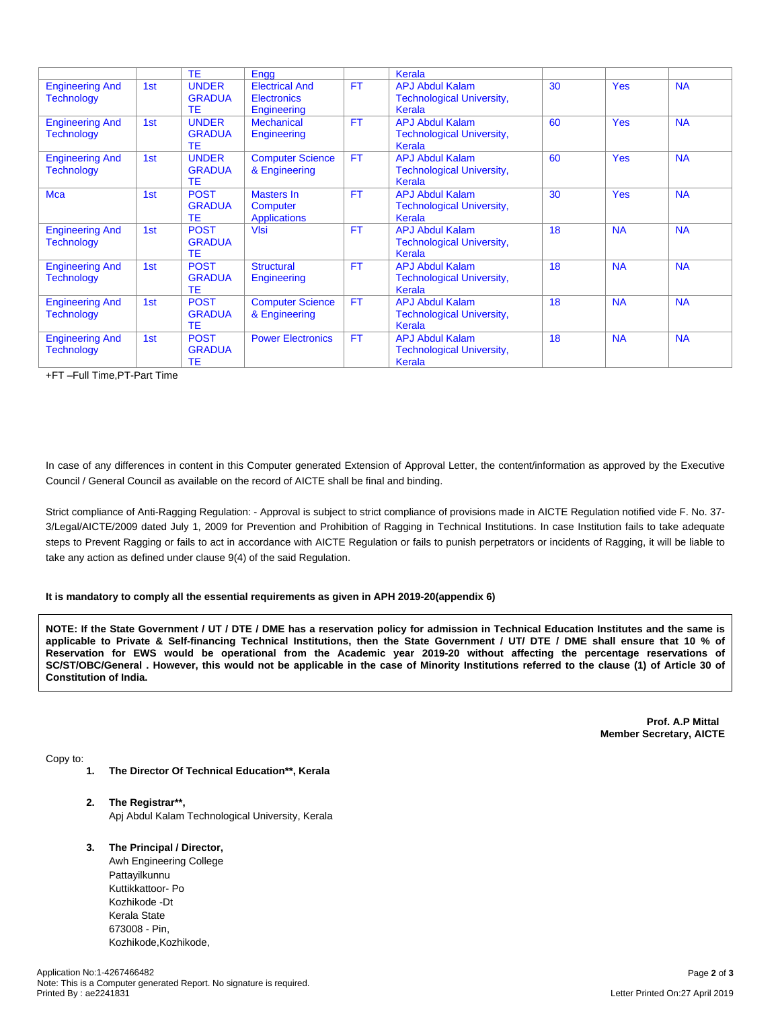|                                             |     | <b>TE</b>                                  | Engg                                                       |           | Kerala                                                               |    |            |           |
|---------------------------------------------|-----|--------------------------------------------|------------------------------------------------------------|-----------|----------------------------------------------------------------------|----|------------|-----------|
| <b>Engineering And</b><br><b>Technology</b> | 1st | <b>UNDER</b><br><b>GRADUA</b><br><b>TE</b> | <b>Electrical And</b><br><b>Electronics</b><br>Engineering | <b>FT</b> | <b>APJ Abdul Kalam</b><br><b>Technological University,</b><br>Kerala | 30 | <b>Yes</b> | <b>NA</b> |
| <b>Engineering And</b><br><b>Technology</b> | 1st | <b>UNDER</b><br><b>GRADUA</b><br><b>TE</b> | <b>Mechanical</b><br>Engineering                           | <b>FT</b> | <b>APJ Abdul Kalam</b><br><b>Technological University,</b><br>Kerala | 60 | <b>Yes</b> | <b>NA</b> |
| <b>Engineering And</b><br><b>Technology</b> | 1st | <b>UNDER</b><br><b>GRADUA</b><br><b>TE</b> | <b>Computer Science</b><br>& Engineering                   | <b>FT</b> | <b>APJ Abdul Kalam</b><br><b>Technological University,</b><br>Kerala | 60 | <b>Yes</b> | <b>NA</b> |
| <b>Mca</b>                                  | 1st | <b>POST</b><br><b>GRADUA</b><br>ТE         | Masters In<br>Computer<br><b>Applications</b>              | <b>FT</b> | <b>APJ Abdul Kalam</b><br><b>Technological University,</b><br>Kerala | 30 | <b>Yes</b> | <b>NA</b> |
| <b>Engineering And</b><br><b>Technology</b> | 1st | <b>POST</b><br><b>GRADUA</b><br><b>TE</b>  | <b>VIsi</b>                                                | <b>FT</b> | <b>APJ Abdul Kalam</b><br><b>Technological University,</b><br>Kerala | 18 | <b>NA</b>  | <b>NA</b> |
| <b>Engineering And</b><br><b>Technology</b> | 1st | <b>POST</b><br><b>GRADUA</b><br>ТE         | <b>Structural</b><br>Engineering                           | <b>FT</b> | <b>APJ Abdul Kalam</b><br><b>Technological University,</b><br>Kerala | 18 | <b>NA</b>  | <b>NA</b> |
| <b>Engineering And</b><br><b>Technology</b> | 1st | <b>POST</b><br><b>GRADUA</b><br>TE.        | <b>Computer Science</b><br>& Engineering                   | <b>FT</b> | <b>APJ Abdul Kalam</b><br><b>Technological University,</b><br>Kerala | 18 | <b>NA</b>  | <b>NA</b> |
| <b>Engineering And</b><br><b>Technology</b> | 1st | <b>POST</b><br><b>GRADUA</b><br>TE         | <b>Power Electronics</b>                                   | <b>FT</b> | <b>APJ Abdul Kalam</b><br><b>Technological University,</b><br>Kerala | 18 | <b>NA</b>  | <b>NA</b> |

+FT –Full Time,PT-Part Time

In case of any differences in content in this Computer generated Extension of Approval Letter, the content/information as approved by the Executive Council / General Council as available on the record of AICTE shall be final and binding.

Strict compliance of Anti-Ragging Regulation: - Approval is subject to strict compliance of provisions made in AICTE Regulation notified vide F. No. 37- 3/Legal/AICTE/2009 dated July 1, 2009 for Prevention and Prohibition of Ragging in Technical Institutions. In case Institution fails to take adequate steps to Prevent Ragging or fails to act in accordance with AICTE Regulation or fails to punish perpetrators or incidents of Ragging, it will be liable to take any action as defined under clause 9(4) of the said Regulation.

#### **It is mandatory to comply all the essential requirements as given in APH 2019-20(appendix 6)**

NOTE: If the State Government / UT / DTE / DME has a reservation policy for admission in Technical Education Institutes and the same is applicable to Private & Self-financing Technical Institutions, then the State Government / UT/ DTE / DME shall ensure that 10 % of Reservation for EWS would be operational from the Academic year 2019-20 without affecting the percentage reservations of SC/ST/OBC/General . However, this would not be applicable in the case of Minority Institutions referred to the clause (1) of Article 30 of **Constitution of India.**

> **Prof. A.P Mittal Member Secretary, AICTE**

Copy to:

- **1. The Director Of Technical Education\*\*, Kerala**
- **2. The Registrar\*\*,** Apj Abdul Kalam Technological University, Kerala
- **3. The Principal / Director,**

Awh Engineering College Pattayilkunnu Kuttikkattoor- Po Kozhikode -Dt Kerala State 673008 - Pin, Kozhikode,Kozhikode,